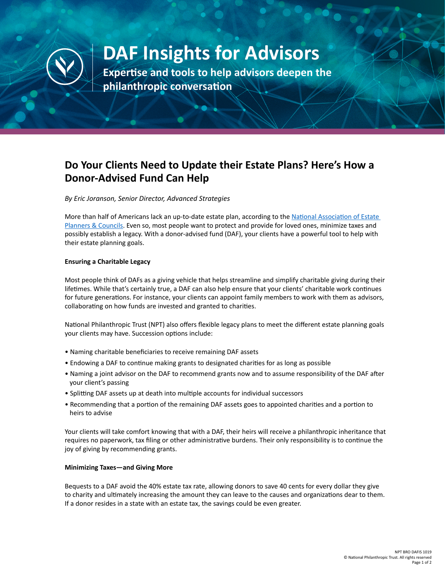

# **DAF Insights for Advisors**

**Expertise and tools to help advisors deepen the philanthropic conversation**

## **Do Your Clients Need to Update their Estate Plans? Here's How a Donor-Advised Fund Can Help**

*By Eric Joranson, Senior Director, Advanced Strategies*

More than half of Americans lack an up-to-date estate plan, according to the [National Association of Estate](http://www.naepc.org/events/awareness_campaigns)  [Planners & Councils](http://www.naepc.org/events/awareness_campaigns). Even so, most people want to protect and provide for loved ones, minimize taxes and possibly establish a legacy. With a donor-advised fund (DAF), your clients have a powerful tool to help with their estate planning goals.

#### **Ensuring a Charitable Legacy**

Most people think of DAFs as a giving vehicle that helps streamline and simplify charitable giving during their lifetimes. While that's certainly true, a DAF can also help ensure that your clients' charitable work continues for future generations. For instance, your clients can appoint family members to work with them as advisors, collaborating on how funds are invested and granted to charities.

National Philanthropic Trust (NPT) also offers flexible legacy plans to meet the different estate planning goals your clients may have. Succession options include:

- Naming charitable beneficiaries to receive remaining DAF assets
- Endowing a DAF to continue making grants to designated charities for as long as possible
- Naming a joint advisor on the DAF to recommend grants now and to assume responsibility of the DAF after your client's passing
- Splitting DAF assets up at death into multiple accounts for individual successors
- Recommending that a portion of the remaining DAF assets goes to appointed charities and a portion to heirs to advise

Your clients will take comfort knowing that with a DAF, their heirs will receive a philanthropic inheritance that requires no paperwork, tax filing or other administrative burdens. Their only responsibility is to continue the joy of giving by recommending grants.

#### **Minimizing Taxes—and Giving More**

Bequests to a DAF avoid the 40% estate tax rate, allowing donors to save 40 cents for every dollar they give to charity and ultimately increasing the amount they can leave to the causes and organizations dear to them. If a donor resides in a state with an estate tax, the savings could be even greater.